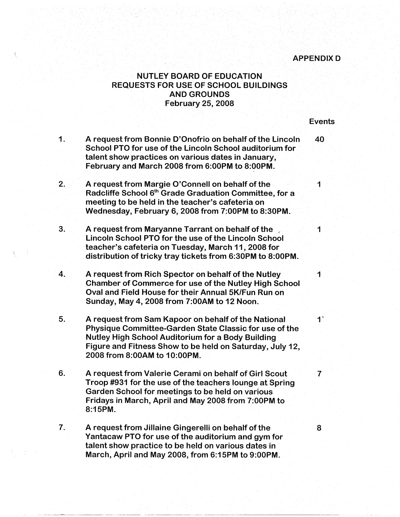## **APPENDIXD**

## **NUTLEY BOARD OF EDUCATION** REQUESTS FOR USE OF SCHOOL BUILDINGS AND GROUNDS February 25, 2008

|                  |                                                                                                                                                                                                                                                                       | <b>Events</b>           |
|------------------|-----------------------------------------------------------------------------------------------------------------------------------------------------------------------------------------------------------------------------------------------------------------------|-------------------------|
| 1.               | A request from Bonnie D'Onofrio on behalf of the Lincoln<br>School PTO for use of the Lincoln School auditorium for<br>talent show practices on various dates in January,<br>February and March 2008 from 6:00PM to 8:00PM.                                           | 40                      |
| 2.               | A request from Margie O'Connell on behalf of the<br>Radcliffe School 6 <sup>th</sup> Grade Graduation Committee, for a<br>meeting to be held in the teacher's cafeteria on<br>Wednesday, February 6, 2008 from 7:00PM to 8:30PM.                                      | 1                       |
| 3.               | A request from Maryanne Tarrant on behalf of the<br>Lincoln School PTO for the use of the Lincoln School<br>teacher's cafeteria on Tuesday, March 11, 2008 for<br>distribution of tricky tray tickets from 6:30PM to 8:00PM.                                          | 1                       |
| $\overline{4}$ . | A request from Rich Spector on behalf of the Nutley<br><b>Chamber of Commerce for use of the Nutley High School</b><br>Oval and Field House for their Annual 5K/Fun Run on<br>Sunday, May 4, 2008 from 7:00AM to 12 Noon.                                             | 1                       |
| 5.               | A request from Sam Kapoor on behalf of the National<br>Physique Committee-Garden State Classic for use of the<br><b>Nutley High School Auditorium for a Body Building</b><br>Figure and Fitness Show to be held on Saturday, July 12,<br>2008 from 8:00AM to 10:00PM. | $\mathbf{1}^{\star}$    |
| 6.               | A request from Valerie Cerami on behalf of Girl Scout<br>Troop #931 for the use of the teachers lounge at Spring<br>Garden School for meetings to be held on various<br>Fridays in March, April and May 2008 from 7:00PM to<br>8:15PM.                                | $\overline{\mathbf{7}}$ |
| 7.               | A request from Jillaine Gingerelli on behalf of the<br>Yantacaw PTO for use of the auditorium and gym for<br>talent show practice to be held on various dates in<br>March, April and May 2008, from 6:15PM to 9:00PM.                                                 | 8                       |